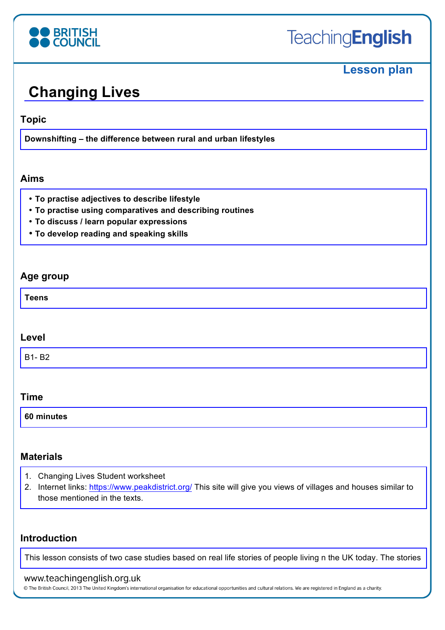

# **Lesson plan**

# **Changing Lives**

#### **Topic**

**Downshifting – the difference between rural and urban lifestyles**

#### **Aims**

- **To practise adjectives to describe lifestyle**
- **To practise using comparatives and describing routines**
- **To discuss / learn popular expressions**
- **To develop reading and speaking skills**

#### **Age group**

**Teens**

#### **Level**

B1- B2

#### **Time**

| 60 minutes |  |  |  |
|------------|--|--|--|
|            |  |  |  |

#### **Materials**

- 1. Changing Lives Student worksheet
- 2. Internet links: https://www.peakdistrict.org/ This site will give you views of villages and houses similar to those mentioned in the texts.

#### **Introduction**

This lesson consists of two case studies based on real life stories of people living n the UK today. The stories

#### www.teachingenglish.org.uk

© The British Council, 2013 The United Kingdom's international organisation for educational opportunities and cultural relations. We are registered in England as a charity.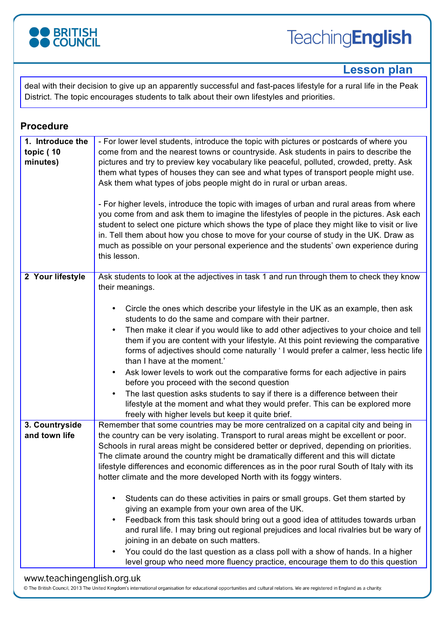

### **Lesson plan**

deal with their decision to give up an apparently successful and fast-paces lifestyle for a rural life in the Peak District. The topic encourages students to talk about their own lifestyles and priorities.

#### **Procedure**

| 1. Introduce the                | - For lower level students, introduce the topic with pictures or postcards of where you                                                                                        |
|---------------------------------|--------------------------------------------------------------------------------------------------------------------------------------------------------------------------------|
| topic (10                       | come from and the nearest towns or countryside. Ask students in pairs to describe the                                                                                          |
| minutes)                        | pictures and try to preview key vocabulary like peaceful, polluted, crowded, pretty. Ask                                                                                       |
|                                 | them what types of houses they can see and what types of transport people might use.                                                                                           |
|                                 | Ask them what types of jobs people might do in rural or urban areas.                                                                                                           |
|                                 |                                                                                                                                                                                |
|                                 | - For higher levels, introduce the topic with images of urban and rural areas from where                                                                                       |
|                                 | you come from and ask them to imagine the lifestyles of people in the pictures. Ask each                                                                                       |
|                                 | student to select one picture which shows the type of place they might like to visit or live                                                                                   |
|                                 | in. Tell them about how you chose to move for your course of study in the UK. Draw as                                                                                          |
|                                 | much as possible on your personal experience and the students' own experience during<br>this lesson.                                                                           |
|                                 |                                                                                                                                                                                |
| 2 Your lifestyle                | Ask students to look at the adjectives in task 1 and run through them to check they know                                                                                       |
|                                 | their meanings.                                                                                                                                                                |
|                                 |                                                                                                                                                                                |
|                                 | Circle the ones which describe your lifestyle in the UK as an example, then ask<br>$\bullet$                                                                                   |
|                                 | students to do the same and compare with their partner.                                                                                                                        |
|                                 | Then make it clear if you would like to add other adjectives to your choice and tell<br>$\bullet$                                                                              |
|                                 | them if you are content with your lifestyle. At this point reviewing the comparative                                                                                           |
|                                 | forms of adjectives should come naturally 'I would prefer a calmer, less hectic life                                                                                           |
|                                 | than I have at the moment.'                                                                                                                                                    |
|                                 | Ask lower levels to work out the comparative forms for each adjective in pairs<br>٠                                                                                            |
|                                 | before you proceed with the second question                                                                                                                                    |
|                                 | The last question asks students to say if there is a difference between their<br>٠                                                                                             |
|                                 | lifestyle at the moment and what they would prefer. This can be explored more                                                                                                  |
|                                 | freely with higher levels but keep it quite brief.                                                                                                                             |
| 3. Countryside<br>and town life | Remember that some countries may be more centralized on a capital city and being in<br>the country can be very isolating. Transport to rural areas might be excellent or poor. |
|                                 | Schools in rural areas might be considered better or deprived, depending on priorities.                                                                                        |
|                                 | The climate around the country might be dramatically different and this will dictate                                                                                           |
|                                 | lifestyle differences and economic differences as in the poor rural South of Italy with its                                                                                    |
|                                 | hotter climate and the more developed North with its foggy winters.                                                                                                            |
|                                 |                                                                                                                                                                                |
|                                 | Students can do these activities in pairs or small groups. Get them started by<br>٠                                                                                            |
|                                 | giving an example from your own area of the UK.                                                                                                                                |
|                                 | Feedback from this task should bring out a good idea of attitudes towards urban<br>$\bullet$                                                                                   |
|                                 | and rural life. I may bring out regional prejudices and local rivalries but be wary of                                                                                         |
|                                 | joining in an debate on such matters.                                                                                                                                          |
|                                 | You could do the last question as a class poll with a show of hands. In a higher<br>$\bullet$                                                                                  |
|                                 | level group who need more fluency practice, encourage them to do this question                                                                                                 |

#### www.teachingenglish.org.uk

© The British Council, 2013 The United Kingdom's international organisation for educational opportunities and cultural relations. We are registered in England as a charity.